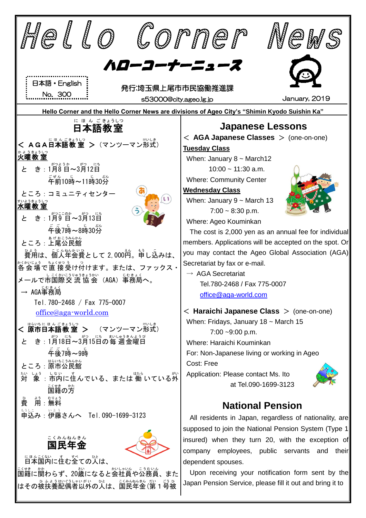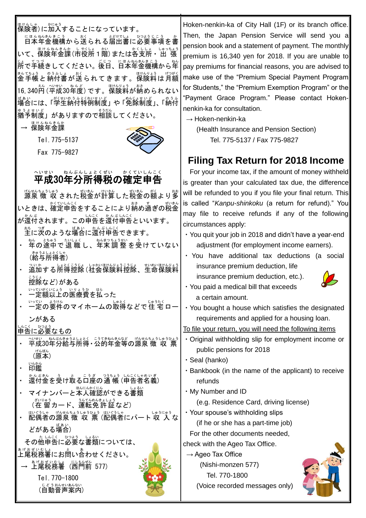| ほけんしゃ<br>保険者)に加入することになっています。<br>いて、保険年金課(市役所 1 階) または各支所<br>出張<br>」。<br>所で手続きしてください。後日、日本年金機構から年<br>保険料は月額<br>16,340円(平成30年度)です。保険料が納められない<br><sub>ばあい</sub><br>場合には、「学生納付特例制度」や「免除制度」、「納付<br>ほけんねんきんか<br><b>保険年金課</b><br>Tel. 775-5137 | Hoken-nenkin-ka of City Hall (1F) or its branch office.<br>Then, the Japan Pension Service will send you a<br>pension book and a statement of payment. The monthly<br>premium is 16,340 yen for 2018. If you are unable to<br>pay premiums for financial reasons, you are advised to<br>make use of the "Premium Special Payment Program<br>for Students," the "Premium Exemption Program" or the<br>"Payment Grace Program." Please contact Hoken-<br>nenkin-ka for consultation.<br>$\rightarrow$ Hoken-nenkin-ka<br>(Health Insurance and Pension Section)<br>Tel. 775-5137 / Fax 775-9827 |
|-----------------------------------------------------------------------------------------------------------------------------------------------------------------------------------------------------------------------------------------|-----------------------------------------------------------------------------------------------------------------------------------------------------------------------------------------------------------------------------------------------------------------------------------------------------------------------------------------------------------------------------------------------------------------------------------------------------------------------------------------------------------------------------------------------------------------------------------------------|
| Fax 775-9827                                                                                                                                                                                                                            | Filing Tax Return for 2018 Income                                                                                                                                                                                                                                                                                                                                                                                                                                                                                                                                                             |
| ねんぶんしょとくぜい<br>へいせい<br>かくていしんこく<br>平成30年分所得税の確定申告                                                                                                                                                                                        | For your income tax, if the amount of money withheld<br>is greater than your calculated tax due, the difference                                                                                                                                                                                                                                                                                                                                                                                                                                                                               |
| <sub>ばななおしゅう</sub><br>源泉 徴 収 された税金が計算した税金の額より多                                                                                                                                                                                          | will be refunded to you if you file your final return. This                                                                                                                                                                                                                                                                                                                                                                                                                                                                                                                                   |
| いときは、確定申告をすることにより納め過ぎの税釜                                                                                                                                                                                                                | is called "Kanpu-shinkoku (a return for refund)." You                                                                                                                                                                                                                                                                                                                                                                                                                                                                                                                                         |
| この申告を還付申告といいます。<br>が還付されます。                                                                                                                                                                                                             | may file to receive refunds if any of the following                                                                                                                                                                                                                                                                                                                                                                                                                                                                                                                                           |
| 主に次のような場合に還付申告できます。                                                                                                                                                                                                                     | circumstances apply:<br>· You quit your job in 2018 and didn't have a year-end                                                                                                                                                                                                                                                                                                                                                                                                                                                                                                                |
| <sub>秘</sub> の途中で退 職 し、年末 調 整 を受けていない                                                                                                                                                                                                   | adjustment (for employment income earners).                                                                                                                                                                                                                                                                                                                                                                                                                                                                                                                                                   |
| (給与所得者)                                                                                                                                                                                                                                 | · You have additional tax deductions (a social                                                                                                                                                                                                                                                                                                                                                                                                                                                                                                                                                |
| るい。<br>追加する所得控除(社会保険料控除、生命保険料                                                                                                                                                                                                           | insurance premium deduction, life                                                                                                                                                                                                                                                                                                                                                                                                                                                                                                                                                             |
| 控除など)がある                                                                                                                                                                                                                                | insurance premium deduction, etc.).                                                                                                                                                                                                                                                                                                                                                                                                                                                                                                                                                           |
| いっていがくいじょう いりょうひ はら<br>一定額以上の医療費を払った                                                                                                                                                                                                    | • You paid a medical bill that exceeds                                                                                                                                                                                                                                                                                                                                                                                                                                                                                                                                                        |
| いひゃぎゃ。<br>一定の要件のマイホームの取得などで住 宅ロー                                                                                                                                                                                                        | a certain amount.                                                                                                                                                                                                                                                                                                                                                                                                                                                                                                                                                                             |
| ンがある                                                                                                                                                                                                                                    | · You bought a house which satisfies the designated<br>requirements and applied for a housing loan.                                                                                                                                                                                                                                                                                                                                                                                                                                                                                           |
| ひつよう<br>申告に必要なもの                                                                                                                                                                                                                        | To file your return, you will need the following items                                                                                                                                                                                                                                                                                                                                                                                                                                                                                                                                        |
| ?いせい りゃぷくま? まとく こうてきねんもんなど げんせんちょうしゅうひょう                                                                                                                                                                                                | · Original withholding slip for employment income or                                                                                                                                                                                                                                                                                                                                                                                                                                                                                                                                          |
| (原本)                                                                                                                                                                                                                                    | public pensions for 2018                                                                                                                                                                                                                                                                                                                                                                                                                                                                                                                                                                      |
| いんかん<br>印鑑                                                                                                                                                                                                                              | · Seal (hanko)                                                                                                                                                                                                                                                                                                                                                                                                                                                                                                                                                                                |
|                                                                                                                                                                                                                                         | . Bankbook (in the name of the applicant) to receive                                                                                                                                                                                                                                                                                                                                                                                                                                                                                                                                          |
| マイナンバーと本人確認ができる書類                                                                                                                                                                                                                       | refunds<br>. My Number and ID                                                                                                                                                                                                                                                                                                                                                                                                                                                                                                                                                                 |
|                                                                                                                                                                                                                                         | (e.g. Residence Card, driving license)                                                                                                                                                                                                                                                                                                                                                                                                                                                                                                                                                        |
| in Colump ばもちょうしゅうひょう in Colump にほうにゅう<br>配偶者の源泉 徴 収 票 (配偶者にパート 収 入な                                                                                                                                                                    | • Your spouse's withholding slips                                                                                                                                                                                                                                                                                                                                                                                                                                                                                                                                                             |
| どがある場合)                                                                                                                                                                                                                                 | (if he or she has a part-time job)                                                                                                                                                                                                                                                                                                                                                                                                                                                                                                                                                            |
| その他申告に必要な書類については、                                                                                                                                                                                                                       | For the other documents needed,                                                                                                                                                                                                                                                                                                                                                                                                                                                                                                                                                               |
|                                                                                                                                                                                                                                         | check with the Ageo Tax Office.                                                                                                                                                                                                                                                                                                                                                                                                                                                                                                                                                               |
| ぁゖぉぜぃむしょ<br><b>上尾税務署</b><br>(西門前 577)                                                                                                                                                                                                   | $\rightarrow$ Ageo Tax Office<br>(Nishi-monzen 577)                                                                                                                                                                                                                                                                                                                                                                                                                                                                                                                                           |
|                                                                                                                                                                                                                                         | Tel. 770-1800                                                                                                                                                                                                                                                                                                                                                                                                                                                                                                                                                                                 |
| Tel. 770-1800<br>。<br>(自動音声案内)                                                                                                                                                                                                          | (Voice recorded messages only)                                                                                                                                                                                                                                                                                                                                                                                                                                                                                                                                                                |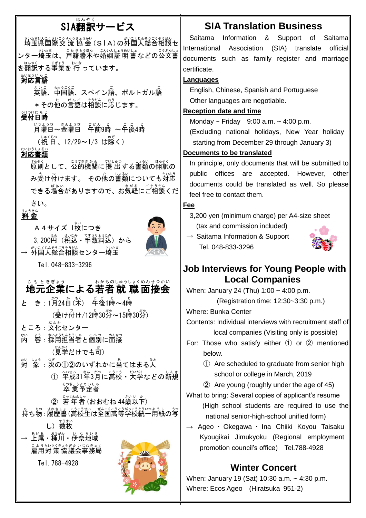# SIA翻訳 ほんやく サービス

<u>おなまはさく、なまうが、</u><br>埼玉県国際交 流 協 会 (SIA)の外国人総合相談セ ンター埼玉は、戸籍謄本や婚姻証 明書などの公文書 – ‱<br>を翻訳する事業を 行 っています。

## <sub>たいおうげんご</sub><br>**対応言語**

英語 えいご 、中国語 ちゅうごくご 、スペイン語 ご 、ポルトガル語 ご \*その他の言語は相談に応じます。

#### <sub>シリっけにちじ</sub><br>**受付日時**

月曜日 げつようび ~金曜日 きんようび 午前 ごぜん 9時 じ ~午後 ご ご 4時 じ (祝日、12/29~1/3 は除く)

### たいおうしょるい<br>**対応書類**

<sub>げんそく</sub><br>原則として、公的機関に提 出 する書類の翻訳の み<u>る</u>け付けます。 その他の書類についても対応 できる場合がありますので、お気軽にご相談くだ さい。

## りょうきん<br>**料 金**





Tel.048-833-3296

# <sub>じもときぎょう</sub> <sub>わかものしゅうしょくめんせつかい</sub><br>**地元企業による若者 就 職 面接会**

と き : 1月24日(米) 午後1時~4時 (受け付け/12時30労~15時30労)

- ところ : 文化センター
- 。<br>内 容:採用担当者と個別に面接 (見学だけでも可)
- <sub>たいしょう</sub> 。。。<br>対 象 : 次の①②のいずれかに当てはまる人 ①  <sup>~</sup>"成31华3月に高校· 大学などの新規 卒 業 そつぎょう 予定者 よていしゃ
	- ② 若年者(おおむね 44歳以下)
	-
- <sub>、もち物:履歴書(高校生は全国高等学校統一用紙の写</sub> し)数枚<br>し)数枚
- ぁゖぉ゠ぉゖぉ゠ぃゞぅぃき<br>→ 上尾・桶川・伊奈地域 こようたいさくきょうぎかいじむきょく<br>雇用対 策 協議会事務局 Tel.788-4928



# **SIA Translation Business**

Saitama Information & Support of Saitama International Association (SIA) translate official documents such as family register and marriage certificate.

#### **Languages**

 English, Chinese, Spanish and Portuguese Other languages are negotiable.

#### **Reception date and time**

Monday  $\sim$  Friday 9:00 a.m.  $\sim$  4:00 p.m.

(Excluding national holidays, New Year holiday starting from December 29 through January 3)

#### **Documents to be translated**

In principle, only documents that will be submitted to public offices are accepted. However, other documents could be translated as well. So please feel free to contact them.

#### **Fee**

3,200 yen (minimum charge) per A4-size sheet (tax and commission included)

 $\rightarrow$  Saitama Information & Support Tel. 048-833-3296



### **Job Interviews for Young People with Local Companies**

When: January 24 (Thu) 1:00 ~ 4:00 p.m.

(Registration time: 12:30~3:30 p.m.)

Where: Bunka Center

Contents: Individual interviews with recruitment staff of local companies (Visiting only is possible)

- For: Those who satisfy either  $(1)$  or  $(2)$  mentioned below.
	- ① Are scheduled to graduate from senior high school or college in March, 2019
	- ② Are young (roughly under the age of 45)

What to bring: Several copies of applicant's resume (High school students are required to use the national senior-high-school unified form)

→ Ageo ・ Okegawa ・ Ina Chiiki Koyou Taisaku Kyougikai Jimukyoku (Regional employment promotion council's office) Tel.788-4928

## **Winter Concert**

When: January 19 (Sat) 10:30 a.m. ~ 4:30 p.m. Where: Ecos Ageo (Hiratsuka 951-2)